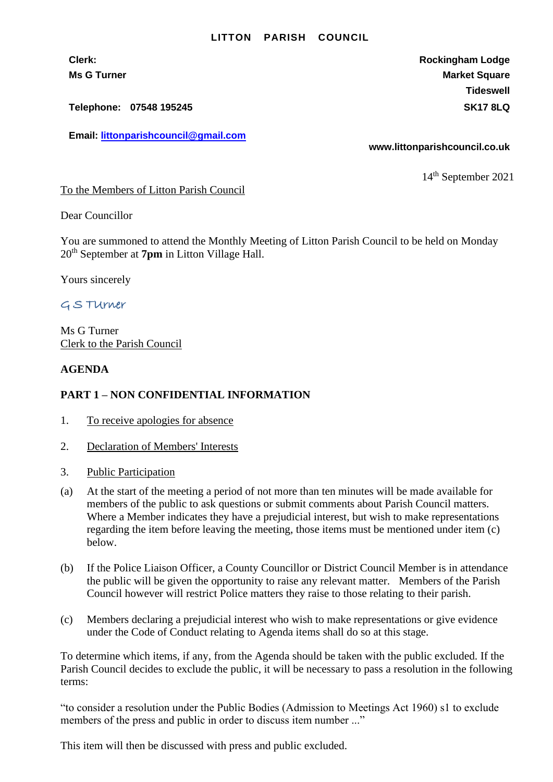#### **LITTON PARISH COUNCIL**

**Telephone: 07548 195245 SK17 8LQ**

**Email: [littonparishcouncil@gmail.com](mailto:littonparishcouncil@gmail.com)**

**Clerk: Rockingham Lodge Ms G Turner Market Square** Market Square Market Square Market Square **Tideswell**

**www.littonparishcouncil.co.uk**

14 th September 2021

To the Members of Litton Parish Council

Dear Councillor

You are summoned to attend the Monthly Meeting of Litton Parish Council to be held on Monday 20th September at **7pm** in Litton Village Hall.

Yours sincerely

# G S TUrner

Ms G Turner Clerk to the Parish Council

### **AGENDA**

## **PART 1 – NON CONFIDENTIAL INFORMATION**

- 1. To receive apologies for absence
- 2. Declaration of Members' Interests
- 3. Public Participation
- (a) At the start of the meeting a period of not more than ten minutes will be made available for members of the public to ask questions or submit comments about Parish Council matters. Where a Member indicates they have a prejudicial interest, but wish to make representations regarding the item before leaving the meeting, those items must be mentioned under item (c) below.
- (b) If the Police Liaison Officer, a County Councillor or District Council Member is in attendance the public will be given the opportunity to raise any relevant matter. Members of the Parish Council however will restrict Police matters they raise to those relating to their parish.
- (c) Members declaring a prejudicial interest who wish to make representations or give evidence under the Code of Conduct relating to Agenda items shall do so at this stage.

To determine which items, if any, from the Agenda should be taken with the public excluded. If the Parish Council decides to exclude the public, it will be necessary to pass a resolution in the following terms:

"to consider a resolution under the Public Bodies (Admission to Meetings Act 1960) s1 to exclude members of the press and public in order to discuss item number ..."

This item will then be discussed with press and public excluded.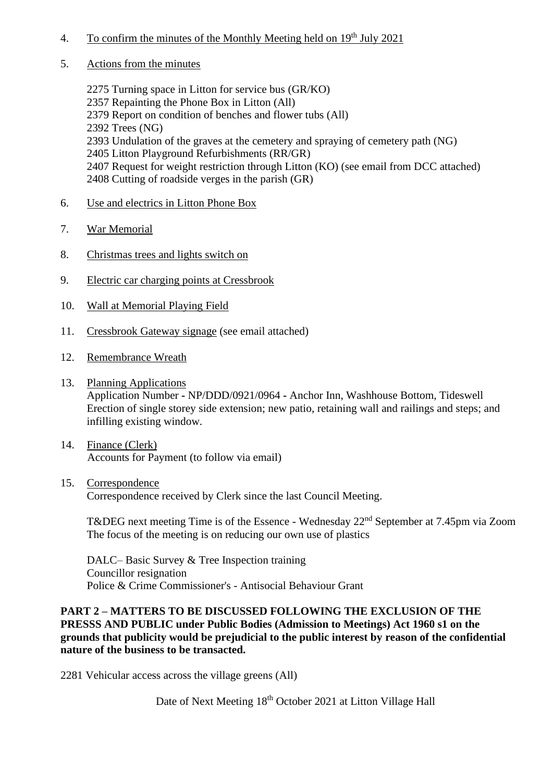- 4. To confirm the minutes of the Monthly Meeting held on  $19<sup>th</sup>$  July 2021
- 5. Actions from the minutes

2275 Turning space in Litton for service bus (GR/KO) 2357 Repainting the Phone Box in Litton (All) 2379 Report on condition of benches and flower tubs (All) 2392 Trees (NG) 2393 Undulation of the graves at the cemetery and spraying of cemetery path (NG) 2405 Litton Playground Refurbishments (RR/GR) 2407 Request for weight restriction through Litton (KO) (see email from DCC attached) 2408 Cutting of roadside verges in the parish (GR)

- 6. Use and electrics in Litton Phone Box
- 7. War Memorial
- 8. Christmas trees and lights switch on
- 9. Electric car charging points at Cressbrook
- 10. Wall at Memorial Playing Field
- 11. Cressbrook Gateway signage (see email attached)
- 12. Remembrance Wreath
- 13. Planning Applications Application Number **-** NP/DDD/0921/0964 **-** Anchor Inn, Washhouse Bottom, Tideswell Erection of single storey side extension; new patio, retaining wall and railings and steps; and infilling existing window.
- 14. Finance (Clerk) Accounts for Payment (to follow via email)
- 15. Correspondence Correspondence received by Clerk since the last Council Meeting.

T&DEG next meeting Time is of the Essence - Wednesday 22<sup>nd</sup> September at 7.45pm via Zoom The focus of the meeting is on reducing our own use of plastics

DALC– Basic Survey & Tree Inspection training Councillor resignation Police & Crime Commissioner's - Antisocial Behaviour Grant

# **PART 2 – MATTERS TO BE DISCUSSED FOLLOWING THE EXCLUSION OF THE PRESSS AND PUBLIC under Public Bodies (Admission to Meetings) Act 1960 s1 on the grounds that publicity would be prejudicial to the public interest by reason of the confidential nature of the business to be transacted.**

2281 Vehicular access across the village greens (All)

Date of Next Meeting  $18<sup>th</sup>$  October 2021 at Litton Village Hall